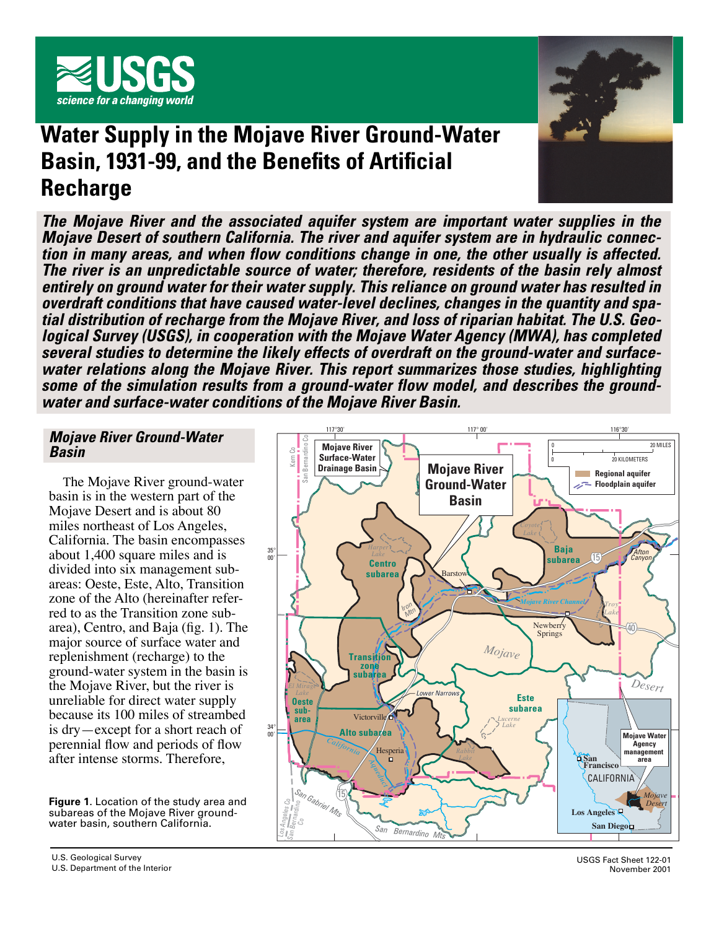

# **Water Supply in the Mojave River Ground-Water Basin, 1931-99, and the Benefits of Artificial Recharge**



*The Mojave River and the associated aquifer system are important water supplies in the Mojave Desert of southern California. The river and aquifer system are in hydraulic connection in many areas, and when flow conditions change in one, the other usually is affected. The river is an unpredictable source of water; therefore, residents of the basin rely almost entirely on ground water for their water supply. This reliance on ground water has resulted in overdraft conditions that have caused water-level declines, changes in the quantity and spatial distribution of recharge from the Mojave River, and loss of riparian habitat. The U.S. Geological Survey (USGS), in cooperation with the Mojave Water Agency (MWA), has completed several studies to determine the likely effects of overdraft on the ground-water and surfacewater relations along the Mojave River. This report summarizes those studies, highlighting some of the simulation results from a ground-water flow model, and describes the groundwater and surface-water conditions of the Mojave River Basin.*

# *Mojave River Ground-Water Basin*

The Mojave River ground-water basin is in the western part of the Mojave Desert and is about 80 miles northeast of Los Angeles, California. The basin encompasses about 1,400 square miles and is divided into six management subareas: Oeste, Este, Alto, Transition zone of the Alto (hereinafter referred to as the Transition zone subarea), Centro, and Baja (fig. 1). The major source of surface water and replenishment (recharge) to the ground-water system in the basin is the Mojave River, but the river is unreliable for direct water supply because its 100 miles of streambed is dry—except for a short reach of perennial flow and periods of flow after intense storms. Therefore,

**Figure 1**. Location of the study area and subareas of the Mojave River groundwater basin, southern California.



U.S. Geological Survey

U.S. Department of the Interior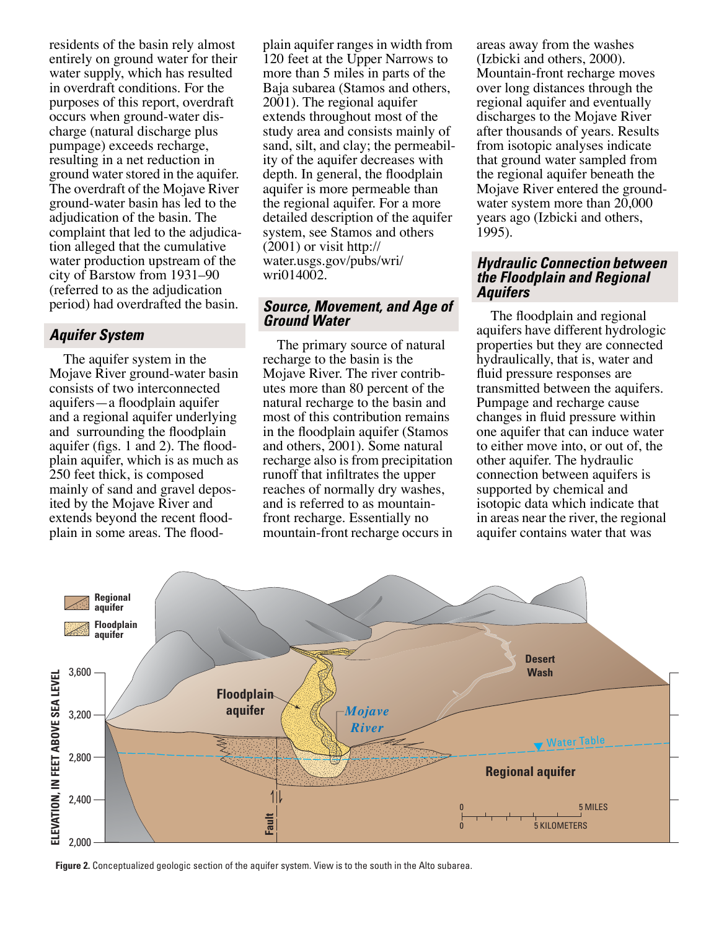residents of the basin rely almost entirely on ground water for their water supply, which has resulted in overdraft conditions. For the purposes of this report, overdraft occurs when ground-water discharge (natural discharge plus pumpage) exceeds recharge, resulting in a net reduction in ground water stored in the aquifer. The overdraft of the Mojave River ground-water basin has led to the adjudication of the basin. The complaint that led to the adjudication alleged that the cumulative water production upstream of the city of Barstow from 1931–90 (referred to as the adjudication period) had overdrafted the basin.

# *Aquifer System*

The aquifer system in the Mojave River ground-water basin consists of two interconnected aquifers—a floodplain aquifer and a regional aquifer underlying and surrounding the floodplain aquifer (figs. 1 and 2). The floodplain aquifer, which is as much as 250 feet thick, is composed mainly of sand and gravel deposited by the Mojave River and extends beyond the recent floodplain in some areas. The floodplain aquifer ranges in width from 120 feet at the Upper Narrows to more than 5 miles in parts of the Baja subarea (Stamos and others, 2001). The regional aquifer extends throughout most of the study area and consists mainly of sand, silt, and clay; the permeability of the aquifer decreases with depth. In general, the floodplain aquifer is more permeable than the regional aquifer. For a more detailed description of the aquifer system, see Stamos and others  $(2001)$  or visit http:// water.usgs.gov/pubs/wri/ wri014002.

#### *Source, Movement, and Age of Ground Water*

The primary source of natural recharge to the basin is the Mojave River. The river contributes more than 80 percent of the natural recharge to the basin and most of this contribution remains in the floodplain aquifer (Stamos and others, 2001). Some natural recharge also is from precipitation runoff that infiltrates the upper reaches of normally dry washes, and is referred to as mountainfront recharge. Essentially no mountain-front recharge occurs in areas away from the washes (Izbicki and others, 2000). Mountain-front recharge moves over long distances through the regional aquifer and eventually discharges to the Mojave River after thousands of years. Results from isotopic analyses indicate that ground water sampled from the regional aquifer beneath the Mojave River entered the groundwater system more than  $20,000$ years ago (Izbicki and others, 1995).

# *Hydraulic Connection between the Floodplain and Regional Aquifers*

The floodplain and regional aquifers have different hydrologic properties but they are connected hydraulically, that is, water and fluid pressure responses are transmitted between the aquifers. Pumpage and recharge cause changes in fluid pressure within one aquifer that can induce water to either move into, or out of, the other aquifer. The hydraulic connection between aquifers is supported by chemical and isotopic data which indicate that in areas near the river, the regional aquifer contains water that was



**Figure 2.** Conceptualized geologic section of the aquifer system. View is to the south in the Alto subarea.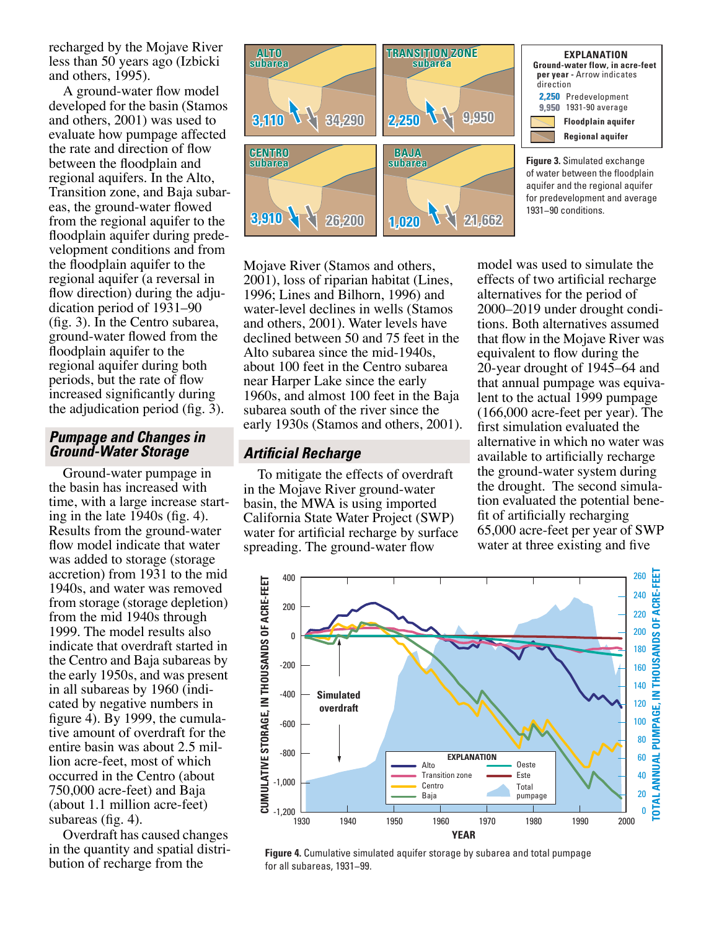recharged by the Mojave River less than 50 years ago (Izbicki and others, 1995).

A ground-water flow model developed for the basin (Stamos and others, 2001) was used to evaluate how pumpage affected the rate and direction of flow between the floodplain and regional aquifers. In the Alto, Transition zone, and Baja subareas, the ground-water flowed from the regional aquifer to the floodplain aquifer during predevelopment conditions and from the floodplain aquifer to the regional aquifer (a reversal in flow direction) during the adjudication period of 1931–90 (fig. 3). In the Centro subarea, ground-water flowed from the floodplain aquifer to the regional aquifer during both periods, but the rate of flow increased significantly during the adjudication period (fig. 3).

#### *Pumpage and Changes in Ground-Water Storage*

Ground-water pumpage in the basin has increased with time, with a large increase starting in the late 1940s (fig. 4). Results from the ground-water flow model indicate that water was added to storage (storage accretion) from 1931 to the mid 1940s, and water was removed from storage (storage depletion) from the mid 1940s through 1999. The model results also indicate that overdraft started in the Centro and Baja subareas by the early 1950s, and was present in all subareas by 1960 (indicated by negative numbers in figure 4). By 1999, the cumulative amount of overdraft for the entire basin was about 2.5 million acre-feet, most of which occurred in the Centro (about 750,000 acre-feet) and Baja (about 1.1 million acre-feet) subareas (fig. 4).

Overdraft has caused changes in the quantity and spatial distribution of recharge from the



Mojave River (Stamos and others, 2001), loss of riparian habitat (Lines, 1996; Lines and Bilhorn, 1996) and water-level declines in wells (Stamos and others, 2001). Water levels have declined between 50 and 75 feet in the Alto subarea since the mid-1940s, about 100 feet in the Centro subarea near Harper Lake since the early 1960s, and almost 100 feet in the Baja subarea south of the river since the early 1930s (Stamos and others, 2001).

# *Artificial Recharge*

To mitigate the effects of overdraft in the Mojave River ground-water basin, the MWA is using imported California State Water Project (SWP) water for artificial recharge by surface spreading. The ground-water flow

model was used to simulate the effects of two artificial recharge alternatives for the period of 2000–2019 under drought conditions. Both alternatives assumed that flow in the Mojave River was equivalent to flow during the 20-year drought of 1945–64 and that annual pumpage was equivalent to the actual 1999 pumpage (166,000 acre-feet per year). The first simulation evaluated the alternative in which no water was available to artificially recharge the ground-water system during the drought. The second simulation evaluated the potential benefit of artificially recharging 65,000 acre-feet per year of SWP water at three existing and five



**Figure 4.** Cumulative simulated aquifer storage by subarea and total pumpage for all subareas, 1931−99.